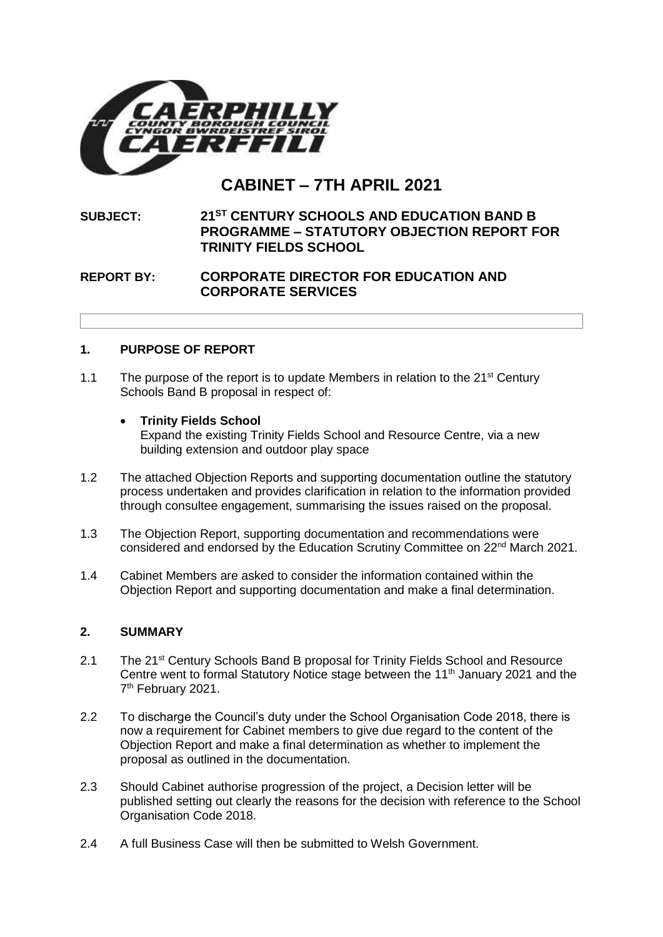

# **CABINET – 7TH APRIL 2021**

## **SUBJECT: 21ST CENTURY SCHOOLS AND EDUCATION BAND B PROGRAMME – STATUTORY OBJECTION REPORT FOR TRINITY FIELDS SCHOOL**

## **REPORT BY: CORPORATE DIRECTOR FOR EDUCATION AND CORPORATE SERVICES**

## **1. PURPOSE OF REPORT**

- 1.1 The purpose of the report is to update Members in relation to the  $21<sup>st</sup>$  Century Schools Band B proposal in respect of:
	- **Trinity Fields School**

Expand the existing Trinity Fields School and Resource Centre, via a new building extension and outdoor play space

- 1.2 The attached Objection Reports and supporting documentation outline the statutory process undertaken and provides clarification in relation to the information provided through consultee engagement, summarising the issues raised on the proposal.
- 1.3 The Objection Report, supporting documentation and recommendations were considered and endorsed by the Education Scrutiny Committee on 22nd March 2021.
- 1.4 Cabinet Members are asked to consider the information contained within the Objection Report and supporting documentation and make a final determination.

#### **2. SUMMARY**

- 2.1 The 21<sup>st</sup> Century Schools Band B proposal for Trinity Fields School and Resource Centre went to formal Statutory Notice stage between the 11<sup>th</sup> January 2021 and the 7<sup>th</sup> February 2021.
- 2.2 To discharge the Council's duty under the School Organisation Code 2018, there is now a requirement for Cabinet members to give due regard to the content of the Objection Report and make a final determination as whether to implement the proposal as outlined in the documentation.
- 2.3 Should Cabinet authorise progression of the project, a Decision letter will be published setting out clearly the reasons for the decision with reference to the School Organisation Code 2018.
- 2.4 A full Business Case will then be submitted to Welsh Government.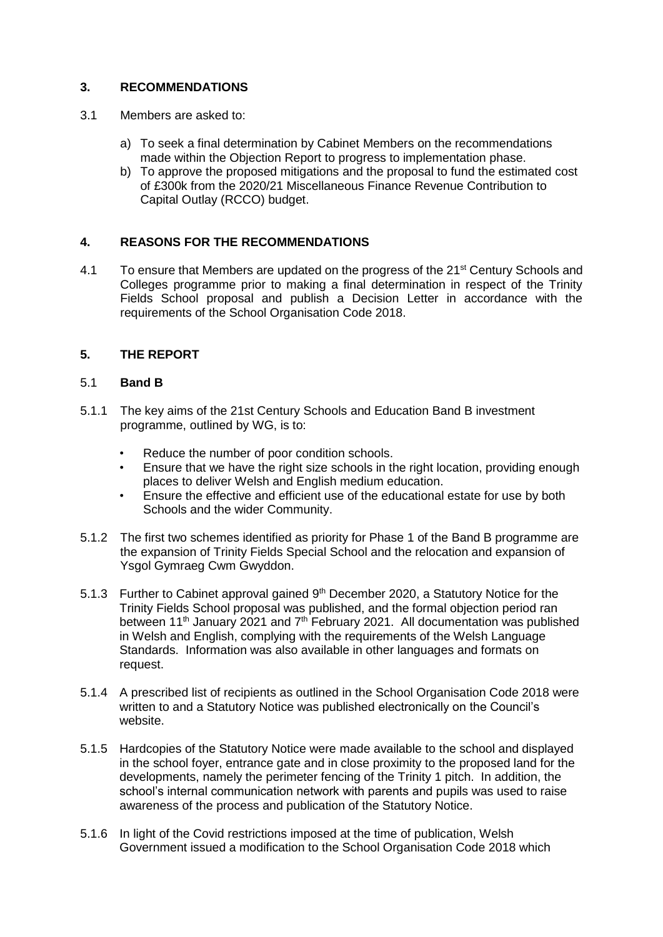## **3. RECOMMENDATIONS**

- 3.1 Members are asked to:
	- a) To seek a final determination by Cabinet Members on the recommendations made within the Objection Report to progress to implementation phase.
	- b) To approve the proposed mitigations and the proposal to fund the estimated cost of £300k from the 2020/21 Miscellaneous Finance Revenue Contribution to Capital Outlay (RCCO) budget.

### **4. REASONS FOR THE RECOMMENDATIONS**

4.1 To ensure that Members are updated on the progress of the 21<sup>st</sup> Century Schools and Colleges programme prior to making a final determination in respect of the Trinity Fields School proposal and publish a Decision Letter in accordance with the requirements of the School Organisation Code 2018.

## **5. THE REPORT**

#### 5.1 **Band B**

- 5.1.1 The key aims of the 21st Century Schools and Education Band B investment programme, outlined by WG, is to:
	- Reduce the number of poor condition schools.
	- Ensure that we have the right size schools in the right location, providing enough places to deliver Welsh and English medium education.
	- Ensure the effective and efficient use of the educational estate for use by both Schools and the wider Community.
- 5.1.2 The first two schemes identified as priority for Phase 1 of the Band B programme are the expansion of Trinity Fields Special School and the relocation and expansion of Ysgol Gymraeg Cwm Gwyddon.
- 5.1.3 Further to Cabinet approval gained 9<sup>th</sup> December 2020, a Statutory Notice for the Trinity Fields School proposal was published, and the formal objection period ran between 11<sup>th</sup> January 2021 and  $7<sup>th</sup>$  February 2021. All documentation was published in Welsh and English, complying with the requirements of the Welsh Language Standards. Information was also available in other languages and formats on request.
- 5.1.4 A prescribed list of recipients as outlined in the School Organisation Code 2018 were written to and a Statutory Notice was published electronically on the Council's website.
- 5.1.5 Hardcopies of the Statutory Notice were made available to the school and displayed in the school foyer, entrance gate and in close proximity to the proposed land for the developments, namely the perimeter fencing of the Trinity 1 pitch. In addition, the school's internal communication network with parents and pupils was used to raise awareness of the process and publication of the Statutory Notice.
- 5.1.6 In light of the Covid restrictions imposed at the time of publication, Welsh Government issued a modification to the School Organisation Code 2018 which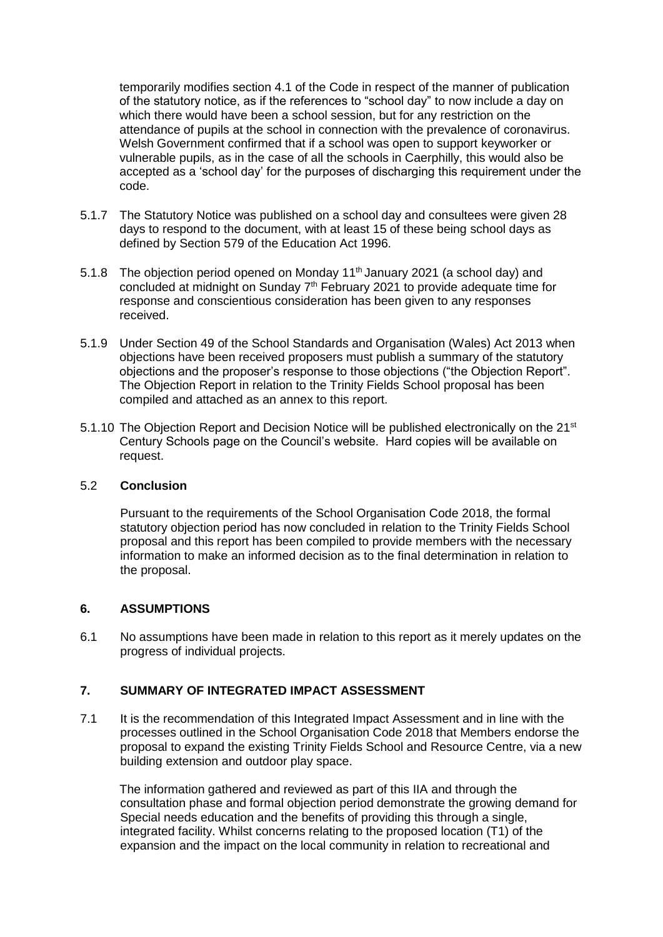temporarily modifies section 4.1 of the Code in respect of the manner of publication of the statutory notice, as if the references to "school day" to now include a day on which there would have been a school session, but for any restriction on the attendance of pupils at the school in connection with the prevalence of coronavirus. Welsh Government confirmed that if a school was open to support keyworker or vulnerable pupils, as in the case of all the schools in Caerphilly, this would also be accepted as a 'school day' for the purposes of discharging this requirement under the code.

- 5.1.7 The Statutory Notice was published on a school day and consultees were given 28 days to respond to the document, with at least 15 of these being school days as defined by Section 579 of the Education Act 1996.
- 5.1.8 The objection period opened on Monday  $11<sup>th</sup>$  January 2021 (a school day) and concluded at midnight on Sunday  $7<sup>th</sup>$  February 2021 to provide adequate time for response and conscientious consideration has been given to any responses received.
- 5.1.9 Under Section 49 of the School Standards and Organisation (Wales) Act 2013 when objections have been received proposers must publish a summary of the statutory objections and the proposer's response to those objections ("the Objection Report". The Objection Report in relation to the Trinity Fields School proposal has been compiled and attached as an annex to this report.
- 5.1.10 The Objection Report and Decision Notice will be published electronically on the 21<sup>st</sup> Century Schools page on the Council's website. Hard copies will be available on request.

#### 5.2 **Conclusion**

Pursuant to the requirements of the School Organisation Code 2018, the formal statutory objection period has now concluded in relation to the Trinity Fields School proposal and this report has been compiled to provide members with the necessary information to make an informed decision as to the final determination in relation to the proposal.

#### **6. ASSUMPTIONS**

6.1 No assumptions have been made in relation to this report as it merely updates on the progress of individual projects.

#### **7. SUMMARY OF INTEGRATED IMPACT ASSESSMENT**

7.1 It is the recommendation of this Integrated Impact Assessment and in line with the processes outlined in the School Organisation Code 2018 that Members endorse the proposal to expand the existing Trinity Fields School and Resource Centre, via a new building extension and outdoor play space.

The information gathered and reviewed as part of this IIA and through the consultation phase and formal objection period demonstrate the growing demand for Special needs education and the benefits of providing this through a single, integrated facility. Whilst concerns relating to the proposed location (T1) of the expansion and the impact on the local community in relation to recreational and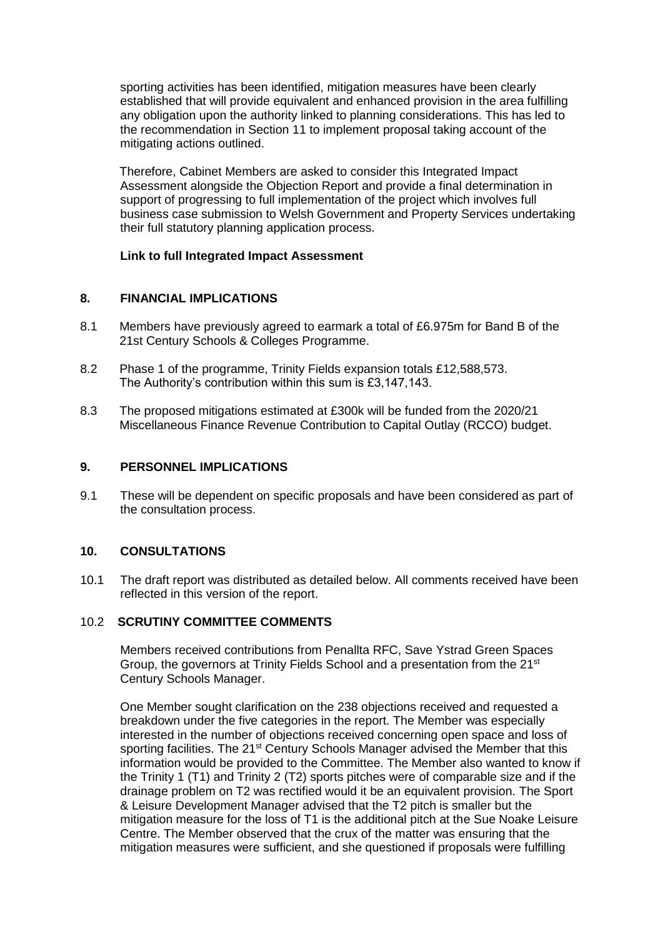sporting activities has been identified, mitigation measures have been clearly established that will provide equivalent and enhanced provision in the area fulfilling any obligation upon the authority linked to planning considerations. This has led to the recommendation in Section 11 to implement proposal taking account of the mitigating actions outlined.

Therefore, Cabinet Members are asked to consider this Integrated Impact Assessment alongside the Objection Report and provide a final determination in support of progressing to full implementation of the project which involves full business case submission to Welsh Government and Property Services undertaking their full statutory planning application process.

#### **[Link to full Integrated Impact Assessment](https://www.caerphilly.gov.uk/CaerphillyDocs/Consultations/Integrated-Impact-Assessment-(Trinity-Fields).aspx)**

#### **8. FINANCIAL IMPLICATIONS**

- 8.1 Members have previously agreed to earmark a total of £6.975m for Band B of the 21st Century Schools & Colleges Programme.
- 8.2 Phase 1 of the programme, Trinity Fields expansion totals £12,588,573. The Authority's contribution within this sum is £3,147,143.
- 8.3 The proposed mitigations estimated at £300k will be funded from the 2020/21 Miscellaneous Finance Revenue Contribution to Capital Outlay (RCCO) budget.

#### **9. PERSONNEL IMPLICATIONS**

9.1 These will be dependent on specific proposals and have been considered as part of the consultation process.

#### **10. CONSULTATIONS**

10.1 The draft report was distributed as detailed below. All comments received have been reflected in this version of the report.

#### 10.2 **SCRUTINY COMMITTEE COMMENTS**

Members received contributions from Penallta RFC, Save Ystrad Green Spaces Group, the governors at Trinity Fields School and a presentation from the 21<sup>st</sup> Century Schools Manager.

One Member sought clarification on the 238 objections received and requested a breakdown under the five categories in the report. The Member was especially interested in the number of objections received concerning open space and loss of sporting facilities. The 21<sup>st</sup> Century Schools Manager advised the Member that this information would be provided to the Committee. The Member also wanted to know if the Trinity 1 (T1) and Trinity 2 (T2) sports pitches were of comparable size and if the drainage problem on T2 was rectified would it be an equivalent provision. The Sport & Leisure Development Manager advised that the T2 pitch is smaller but the mitigation measure for the loss of T1 is the additional pitch at the Sue Noake Leisure Centre. The Member observed that the crux of the matter was ensuring that the mitigation measures were sufficient, and she questioned if proposals were fulfilling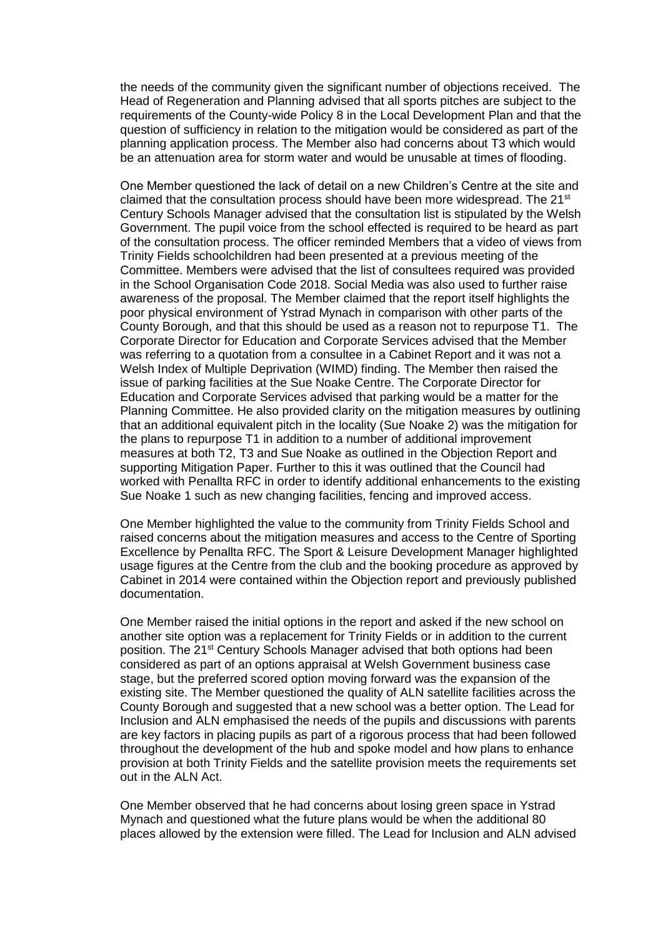the needs of the community given the significant number of objections received. The Head of Regeneration and Planning advised that all sports pitches are subject to the requirements of the County-wide Policy 8 in the Local Development Plan and that the question of sufficiency in relation to the mitigation would be considered as part of the planning application process. The Member also had concerns about T3 which would be an attenuation area for storm water and would be unusable at times of flooding.

One Member questioned the lack of detail on a new Children's Centre at the site and claimed that the consultation process should have been more widespread. The  $21^{st}$ Century Schools Manager advised that the consultation list is stipulated by the Welsh Government. The pupil voice from the school effected is required to be heard as part of the consultation process. The officer reminded Members that a video of views from Trinity Fields schoolchildren had been presented at a previous meeting of the Committee. Members were advised that the list of consultees required was provided in the School Organisation Code 2018. Social Media was also used to further raise awareness of the proposal. The Member claimed that the report itself highlights the poor physical environment of Ystrad Mynach in comparison with other parts of the County Borough, and that this should be used as a reason not to repurpose T1. The Corporate Director for Education and Corporate Services advised that the Member was referring to a quotation from a consultee in a Cabinet Report and it was not a Welsh Index of Multiple Deprivation (WIMD) finding. The Member then raised the issue of parking facilities at the Sue Noake Centre. The Corporate Director for Education and Corporate Services advised that parking would be a matter for the Planning Committee. He also provided clarity on the mitigation measures by outlining that an additional equivalent pitch in the locality (Sue Noake 2) was the mitigation for the plans to repurpose T1 in addition to a number of additional improvement measures at both T2, T3 and Sue Noake as outlined in the Objection Report and supporting Mitigation Paper. Further to this it was outlined that the Council had worked with Penallta RFC in order to identify additional enhancements to the existing Sue Noake 1 such as new changing facilities, fencing and improved access.

One Member highlighted the value to the community from Trinity Fields School and raised concerns about the mitigation measures and access to the Centre of Sporting Excellence by Penallta RFC. The Sport & Leisure Development Manager highlighted usage figures at the Centre from the club and the booking procedure as approved by Cabinet in 2014 were contained within the Objection report and previously published documentation.

One Member raised the initial options in the report and asked if the new school on another site option was a replacement for Trinity Fields or in addition to the current position. The 21<sup>st</sup> Century Schools Manager advised that both options had been considered as part of an options appraisal at Welsh Government business case stage, but the preferred scored option moving forward was the expansion of the existing site. The Member questioned the quality of ALN satellite facilities across the County Borough and suggested that a new school was a better option. The Lead for Inclusion and ALN emphasised the needs of the pupils and discussions with parents are key factors in placing pupils as part of a rigorous process that had been followed throughout the development of the hub and spoke model and how plans to enhance provision at both Trinity Fields and the satellite provision meets the requirements set out in the ALN Act.

One Member observed that he had concerns about losing green space in Ystrad Mynach and questioned what the future plans would be when the additional 80 places allowed by the extension were filled. The Lead for Inclusion and ALN advised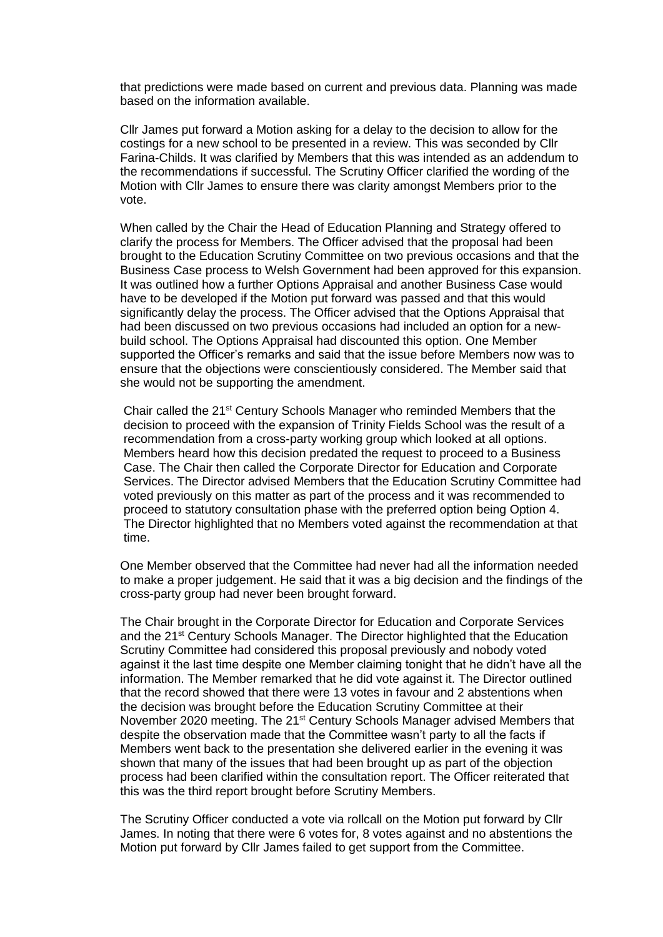that predictions were made based on current and previous data. Planning was made based on the information available.

Cllr James put forward a Motion asking for a delay to the decision to allow for the costings for a new school to be presented in a review. This was seconded by Cllr Farina-Childs. It was clarified by Members that this was intended as an addendum to the recommendations if successful. The Scrutiny Officer clarified the wording of the Motion with Cllr James to ensure there was clarity amongst Members prior to the vote.

When called by the Chair the Head of Education Planning and Strategy offered to clarify the process for Members. The Officer advised that the proposal had been brought to the Education Scrutiny Committee on two previous occasions and that the Business Case process to Welsh Government had been approved for this expansion. It was outlined how a further Options Appraisal and another Business Case would have to be developed if the Motion put forward was passed and that this would significantly delay the process. The Officer advised that the Options Appraisal that had been discussed on two previous occasions had included an option for a newbuild school. The Options Appraisal had discounted this option. One Member supported the Officer's remarks and said that the issue before Members now was to ensure that the objections were conscientiously considered. The Member said that she would not be supporting the amendment.

Chair called the 21<sup>st</sup> Century Schools Manager who reminded Members that the decision to proceed with the expansion of Trinity Fields School was the result of a recommendation from a cross-party working group which looked at all options. Members heard how this decision predated the request to proceed to a Business Case. The Chair then called the Corporate Director for Education and Corporate Services. The Director advised Members that the Education Scrutiny Committee had voted previously on this matter as part of the process and it was recommended to proceed to statutory consultation phase with the preferred option being Option 4. The Director highlighted that no Members voted against the recommendation at that time.

One Member observed that the Committee had never had all the information needed to make a proper judgement. He said that it was a big decision and the findings of the cross-party group had never been brought forward.

The Chair brought in the Corporate Director for Education and Corporate Services and the 21<sup>st</sup> Century Schools Manager. The Director highlighted that the Education Scrutiny Committee had considered this proposal previously and nobody voted against it the last time despite one Member claiming tonight that he didn't have all the information. The Member remarked that he did vote against it. The Director outlined that the record showed that there were 13 votes in favour and 2 abstentions when the decision was brought before the Education Scrutiny Committee at their November 2020 meeting. The 21st Century Schools Manager advised Members that despite the observation made that the Committee wasn't party to all the facts if Members went back to the presentation she delivered earlier in the evening it was shown that many of the issues that had been brought up as part of the objection process had been clarified within the consultation report. The Officer reiterated that this was the third report brought before Scrutiny Members.

The Scrutiny Officer conducted a vote via rollcall on the Motion put forward by Cllr James. In noting that there were 6 votes for, 8 votes against and no abstentions the Motion put forward by Cllr James failed to get support from the Committee.